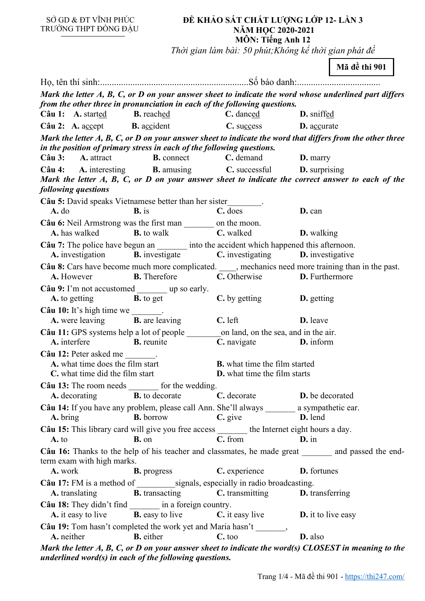SỞ GD & ĐT VĨNH PHÚC TRƯỜNG THPT ĐỒNG ĐẬU

## **ĐỀ KHẢO SÁT CHẤT LƯỢNG LỚP 12- LẦN 3 NĂM HỌC 2020-2021 MÔN: Tiếng Anh 12**

*Thời gian làm bài: 50 phút;Không kể thời gian phát đề*

|                                                                                                                                                                                     |                                                                             |                      | Mã đề thi 901 |  |
|-------------------------------------------------------------------------------------------------------------------------------------------------------------------------------------|-----------------------------------------------------------------------------|----------------------|---------------|--|
|                                                                                                                                                                                     |                                                                             |                      |               |  |
| Mark the letter A, B, C, or D on your answer sheet to indicate the word whose underlined part differs<br>from the other three in pronunciation in each of the following questions.  |                                                                             |                      |               |  |
| Câu 1: A. started B. reached                                                                                                                                                        | C. danced                                                                   | D. sniffed           |               |  |
| Câu 2: A. accept B. accident                                                                                                                                                        | C. success D. accurate                                                      |                      |               |  |
| Mark the letter $A, B, C, or D$ on your answer sheet to indicate the word that differs from the other three                                                                         |                                                                             |                      |               |  |
| in the position of primary stress in each of the following questions.<br>Câu 3: A. attract<br><b>B.</b> connect <b>C.</b> demand                                                    |                                                                             | $\mathbf{D}$ . marry |               |  |
| Câu 4: A. interesting B. amusing C. successful D. surprising                                                                                                                        |                                                                             |                      |               |  |
| Mark the letter A, B, C, or D on your answer sheet to indicate the correct answer to each of the<br>following questions                                                             |                                                                             |                      |               |  |
| Câu 5: David speaks Vietnamese better than her sister________.                                                                                                                      |                                                                             |                      |               |  |
| $B.$ is<br>$A.$ do                                                                                                                                                                  | C. does                                                                     | D. can               |               |  |
| Câu 6: Neil Armstrong was the first man _________ on the moon.<br><b>A.</b> has walked <b>B.</b> to walk <b>C.</b> walked <b>D.</b> walking                                         |                                                                             |                      |               |  |
| Câu 7: The police have begun an ________ into the accident which happened this afternoon.<br>A. investigation <b>B.</b> investigate <b>C.</b> investigating <b>D.</b> investigative |                                                                             |                      |               |  |
| Câu 8: Cars have become much more complicated. _____, mechanics need more training than in the past.<br><b>B.</b> Therefore <b>C.</b> Otherwise <b>D.</b> Furthermore<br>A. However |                                                                             |                      |               |  |
| Câu 9: I'm not accustomed ________ up so early.<br><b>A.</b> to getting <b>B.</b> to get                                                                                            | C. by getting D. getting                                                    |                      |               |  |
| $C\hat{a}$ u 10: It's high time we _______.                                                                                                                                         |                                                                             |                      |               |  |
| <b>A.</b> were leaving <b>B.</b> are leaving                                                                                                                                        | $C.$ left<br><b>D.</b> leave                                                |                      |               |  |
|                                                                                                                                                                                     |                                                                             |                      |               |  |
| A. interfere<br><b>B.</b> reunite                                                                                                                                                   | <b>C.</b> navigate <b>D.</b> inform                                         |                      |               |  |
| Câu 12: Peter asked me<br>A. what time does the film start<br>C. what time did the film start                                                                                       | <b>B.</b> what time the film started<br><b>D.</b> what time the film starts |                      |               |  |
| Câu 13: The room needs _______ for the wedding.                                                                                                                                     |                                                                             |                      |               |  |
| <b>A.</b> decorating <b>B.</b> to decorate                                                                                                                                          | C. decorate <b>D.</b> be decorated                                          |                      |               |  |
| Câu 14: If you have any problem, please call Ann. She'll always _______ a sympathetic ear.                                                                                          |                                                                             |                      |               |  |
| <b>B.</b> borrow<br>A. bring                                                                                                                                                        | $C.$ give                                                                   | D. lend              |               |  |
| Câu 15: This library card will give you free access _______ the Internet eight hours a day.<br><b>B.</b> on<br>$A.$ to                                                              | $\overline{\mathbf{C}.$ from<br>$\mathbf{D}$ . in                           |                      |               |  |
| Câu 16: Thanks to the help of his teacher and classmates, he made great _______ and passed the end-                                                                                 |                                                                             |                      |               |  |
| term exam with high marks.<br>A. work<br><b>B.</b> progress                                                                                                                         | C. experience <b>D.</b> fortunes                                            |                      |               |  |
| <b>A.</b> translating                                                                                                                                                               | <b>B.</b> transacting <b>C.</b> transmitting <b>D.</b> transferring         |                      |               |  |
| Câu 18: They didn't find _________ in a foreign country.<br><b>A.</b> it easy to live <b>B.</b> easy to live <b>C.</b> it easy live <b>D.</b> it to live easy                       |                                                                             |                      |               |  |
| Câu 19: Tom hasn't completed the work yet and Maria hasn't _______,                                                                                                                 |                                                                             |                      |               |  |
| <b>B.</b> either<br>A. neither                                                                                                                                                      | $C.$ too                                                                    | D. also              |               |  |
| Mark the letter $A$ , $B$ , $C$ , or $D$ on your answer sheet to indicate the word(s) CLOSEST in meaning to the                                                                     |                                                                             |                      |               |  |

*underlined word(s) in each of the following questions.*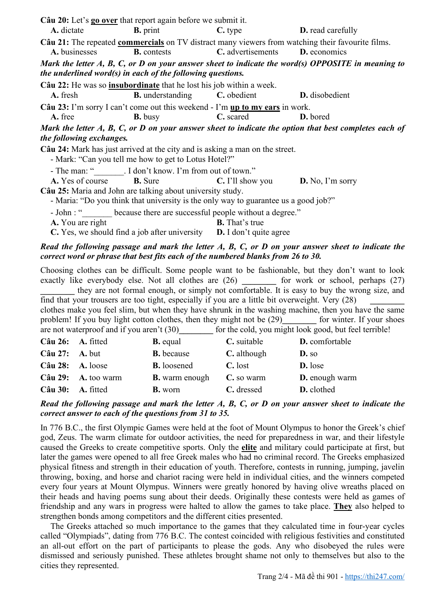| Câu 20: Let's go over that report again before we submit it.                 |                                                                                        |                                                                  |                                                                                                                  |
|------------------------------------------------------------------------------|----------------------------------------------------------------------------------------|------------------------------------------------------------------|------------------------------------------------------------------------------------------------------------------|
| A. dictate                                                                   |                                                                                        | <b>B.</b> print <b>C.</b> type <b>D.</b> read carefully          |                                                                                                                  |
|                                                                              |                                                                                        |                                                                  | Câu 21: The repeated commercials on TV distract many viewers from watching their favourite films.                |
| A. businesses                                                                | <b>B.</b> contests                                                                     | C. advertisements D. economics                                   |                                                                                                                  |
|                                                                              |                                                                                        |                                                                  | Mark the letter $A$ , $B$ , $C$ , or $D$ on your answer sheet to indicate the word(s) OPPOSITE in meaning to     |
| the underlined word(s) in each of the following questions.                   |                                                                                        |                                                                  |                                                                                                                  |
| Câu 22: He was so <i>insubordinate</i> that he lost his job within a week.   |                                                                                        |                                                                  |                                                                                                                  |
| A. fresh                                                                     |                                                                                        | <b>B.</b> understanding <b>C.</b> obedient <b>D.</b> disobedient |                                                                                                                  |
| Câu 23: I'm sorry I can't come out this weekend - I'm up to my ears in work. |                                                                                        |                                                                  |                                                                                                                  |
| A. free                                                                      | <b>B.</b> busy                                                                         | <b>C.</b> scared                                                 | <b>D.</b> bored                                                                                                  |
|                                                                              |                                                                                        |                                                                  | Mark the letter $A$ , $B$ , $C$ , or $D$ on your answer sheet to indicate the option that best completes each of |
| the following exchanges.                                                     |                                                                                        |                                                                  |                                                                                                                  |
| Câu 24: Mark has just arrived at the city and is asking a man on the street. |                                                                                        |                                                                  |                                                                                                                  |
|                                                                              | - Mark: "Can you tell me how to get to Lotus Hotel?"                                   |                                                                  |                                                                                                                  |
|                                                                              | - The man: " . I don't know. I'm from out of town."                                    |                                                                  |                                                                                                                  |
|                                                                              | <b>A.</b> Yes of course <b>B.</b> Sure <b>C.</b> I'll show you <b>D.</b> No, I'm sorry |                                                                  |                                                                                                                  |
| Câu 25: Maria and John are talking about university study.                   |                                                                                        |                                                                  |                                                                                                                  |
|                                                                              | - Maria: "Do you think that university is the only way to guarantee us a good job?"    |                                                                  |                                                                                                                  |
|                                                                              | - John : " because there are successful people without a degree."                      |                                                                  |                                                                                                                  |
| A. You are right                                                             |                                                                                        | <b>B.</b> That's true                                            |                                                                                                                  |
|                                                                              | C. Yes, we should find a job after university $D$ . I don't quite agree                |                                                                  |                                                                                                                  |

## *Read the following passage and mark the letter A, B, C, or D on your answer sheet to indicate the correct word or phrase that best fits each of the numbered blanks from 26 to 30.*

Choosing clothes can be difficult. Some people want to be fashionable, but they don't want to look exactly like everybody else. Not all clothes are  $(26)$  for work or school, perhaps  $(27)$ **\_\_\_\_\_\_\_\_** they are not formal enough, or simply not comfortable. It is easy to buy the wrong size, and find that your trousers are too tight, especially if you are a little bit overweight. Very (28) **\_\_\_\_\_\_\_\_**  clothes make you feel slim, but when they have shrunk in the washing machine, then you have the same problem! If you buy light cotton clothes, then they might not be (29) for winter. If your shoes are not waterproof and if you aren't (30) for the cold, you might look good, but feel terrible! **Câu 26: A.** fitted **B.** equal **C.** suitable **D.** comfortable **Câu 27: A.** but **B.** because **C.** although **D.** so

| $C\hat{a}$ u 28: A. loose  |                              | <b>B.</b> loosened                      | C. lost    | <b>D.</b> lose        |
|----------------------------|------------------------------|-----------------------------------------|------------|-----------------------|
|                            | $C\hat{a}$ u 29: A. too warm | <b>B.</b> warm enough <b>C.</b> so warm |            | <b>D.</b> enough warm |
| $C\hat{a}$ u 30: A. fitted |                              | <b>B.</b> worn                          | C. dressed | <b>D.</b> clothed     |

## *Read the following passage and mark the letter A, B, C, or D on your answer sheet to indicate the correct answer to each of the questions from 31 to 35.*

In 776 B.C., the first Olympic Games were held at the foot of Mount Olympus to honor the Greek's chief god, Zeus. The warm climate for outdoor activities, the need for preparedness in war, and their lifestyle caused the Greeks to create competitive sports. Only the **elite** and military could participate at first, but later the games were opened to all free Greek males who had no criminal record. The Greeks emphasized physical fitness and strength in their education of youth. Therefore, contests in running, jumping, javelin throwing, boxing, and horse and chariot racing were held in individual cities, and the winners competed every four years at Mount Olympus. Winners were greatly honored by having olive wreaths placed on their heads and having poems sung about their deeds. Originally these contests were held as games of friendship and any wars in progress were halted to allow the games to take place. **They** also helped to strengthen bonds among competitors and the different cities presented.

The Greeks attached so much importance to the games that they calculated time in four-year cycles called "Olympiads", dating from 776 B.C. The contest coincided with religious festivities and constituted an all-out effort on the part of participants to please the gods. Any who disobeyed the rules were dismissed and seriously punished. These athletes brought shame not only to themselves but also to the cities they represented.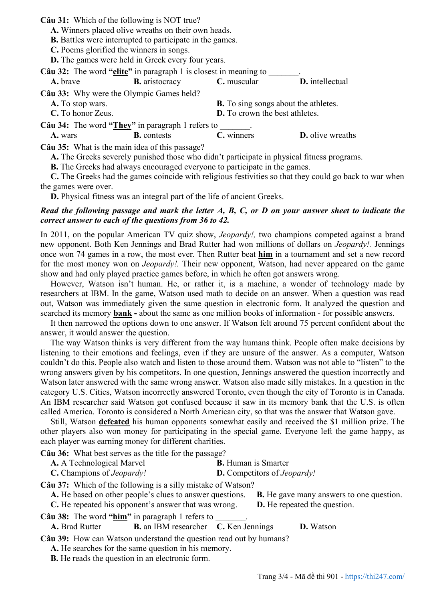**Câu 31:** Which of the following is NOT true?

**A.** Winners placed olive wreaths on their own heads.

**B.** Battles were interrupted to participate in the games.

**C.** Poems glorified the winners in songs.

**D.** The games were held in Greek every four years.

| Câu 32: The word "elite" in paragraph 1 is closest in meaning to |                       |                                                                                  |                                                                                            |  |
|------------------------------------------------------------------|-----------------------|----------------------------------------------------------------------------------|--------------------------------------------------------------------------------------------|--|
| A. brave                                                         | <b>B.</b> aristocracy | C. muscular                                                                      | D. intellectual                                                                            |  |
| Câu 33: Why were the Olympic Games held?                         |                       |                                                                                  |                                                                                            |  |
| A. To stop wars.                                                 |                       | <b>B.</b> To sing songs about the athletes.                                      |                                                                                            |  |
| C. To honor Zeus.                                                |                       | D. To crown the best athletes.                                                   |                                                                                            |  |
| Câu 34: The word "They" in paragraph 1 refers to                 |                       |                                                                                  |                                                                                            |  |
| A. wars                                                          | <b>B.</b> contests    | C. winners                                                                       | <b>D.</b> olive wreaths                                                                    |  |
| Câu 35: What is the main idea of this passage?                   |                       |                                                                                  |                                                                                            |  |
|                                                                  |                       |                                                                                  | A. The Greeks severely punished those who didn't participate in physical fitness programs. |  |
|                                                                  |                       | <b>B.</b> The Greeks had always encouraged everyone to participate in the games. |                                                                                            |  |

**C.** The Greeks had the games coincide with religious festivities so that they could go back to war when the games were over.

**D.** Physical fitness was an integral part of the life of ancient Greeks.

## *Read the following passage and mark the letter A, B, C, or D on your answer sheet to indicate the correct answer to each of the questions from 36 to 42.*

In 2011, on the popular American TV quiz show, *Jeopardy!,* two champions competed against a brand new opponent. Both Ken Jennings and Brad Rutter had won millions of dollars on *Jeopardy!.* Jennings once won 74 games in a row, the most ever. Then Rutter beat **him** in a tournament and set a new record for the most money won on *Jeopardy!.* Their new opponent, Watson, had never appeared on the game show and had only played practice games before, in which he often got answers wrong.

However, Watson isn't human. He, or rather it, is a machine, a wonder of technology made by researchers at IBM. In the game, Watson used math to decide on an answer. When a question was read out, Watson was immediately given the same question in electronic form. It analyzed the question and searched its memory **bank -** about the same as one million books of information - for possible answers.

It then narrowed the options down to one answer. If Watson felt around 75 percent confident about the answer, it would answer the question.

The way Watson thinks is very different from the way humans think. People often make decisions by listening to their emotions and feelings, even if they are unsure of the answer. As a computer, Watson couldn't do this. People also watch and listen to those around them. Watson was not able to "listen" to the wrong answers given by his competitors. In one question, Jennings answered the question incorrectly and Watson later answered with the same wrong answer. Watson also made silly mistakes. In a question in the category U.S. Cities, Watson incorrectly answered Toronto, even though the city of Toronto is in Canada. An IBM researcher said Watson got confused because it saw in its memory bank that the U.S. is often called America. Toronto is considered a North American city, so that was the answer that Watson gave.

Still, Watson **defeated** his human opponents somewhat easily and received the \$1 million prize. The other players also won money for participating in the special game. Everyone left the game happy, as each player was earning money for different charities.

**Câu 36:** What best serves as the title for the passage?

| <b>C.</b> Champions of <i>Jeopardy!</i> | <b>D.</b> Competitors of <i>Jeopardy</i> ! |  |
|-----------------------------------------|--------------------------------------------|--|
|                                         |                                            |  |

**Câu 37:** Which of the following is a silly mistake of Watson?

**A.** He based on other people's clues to answer questions. **B.** He gave many answers to one question.

**C.** He repeated his opponent's answer that was wrong. **D.** He repeated the question.

**Câu 38:** The word **"him"** in paragraph 1 refers to \_\_\_\_\_\_\_.

**A.** Brad Rutter **B.** an IBM researcher **C.** Ken Jennings **D.** Watson

**Câu 39:** How can Watson understand the question read out by humans?

**A.** He searches for the same question in his memory.

**B.** He reads the question in an electronic form.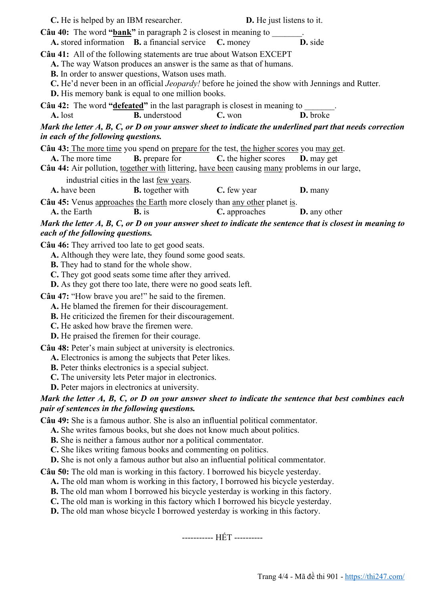| C. He is helped by an IBM researcher.                                                               |                                                                                                                                                                                                                                                                                                                                                                                                                                                | <b>D.</b> He just listens to it. |                                                                                                                |
|-----------------------------------------------------------------------------------------------------|------------------------------------------------------------------------------------------------------------------------------------------------------------------------------------------------------------------------------------------------------------------------------------------------------------------------------------------------------------------------------------------------------------------------------------------------|----------------------------------|----------------------------------------------------------------------------------------------------------------|
|                                                                                                     | <b>Câu 40:</b> The word " $bank$ " in paragraph 2 is closest in meaning to<br>A. stored information B. a financial service                                                                                                                                                                                                                                                                                                                     | C. money                         | D. side                                                                                                        |
|                                                                                                     | Câu 41: All of the following statements are true about Watson EXCEPT<br>A. The way Watson produces an answer is the same as that of humans.<br><b>B.</b> In order to answer questions, Watson uses math.<br>C. He'd never been in an official <i>Jeopardy!</i> before he joined the show with Jennings and Rutter.<br><b>D.</b> His memory bank is equal to one million books.                                                                 |                                  |                                                                                                                |
|                                                                                                     | Câu 42: The word "defeated" in the last paragraph is closest in meaning to                                                                                                                                                                                                                                                                                                                                                                     |                                  |                                                                                                                |
| A. lost                                                                                             | <b>B.</b> understood                                                                                                                                                                                                                                                                                                                                                                                                                           | C. won                           | D. broke                                                                                                       |
| in each of the following questions.                                                                 |                                                                                                                                                                                                                                                                                                                                                                                                                                                |                                  | Mark the letter A, B, C, or D on your answer sheet to indicate the underlined part that needs correction       |
| A. The more time                                                                                    | Câu 43: The more time you spend on prepare for the test, the higher scores you may get.<br><b>B.</b> prepare for<br>Câu 44: Air pollution, together with littering, have been causing many problems in our large,                                                                                                                                                                                                                              | C. the higher scores             | D. may get                                                                                                     |
|                                                                                                     | industrial cities in the last <u>few years</u> .                                                                                                                                                                                                                                                                                                                                                                                               |                                  |                                                                                                                |
| A. have been                                                                                        | <b>B.</b> together with                                                                                                                                                                                                                                                                                                                                                                                                                        | C. few year                      | <b>D.</b> many                                                                                                 |
| A. the Earth                                                                                        | Câu 45: Venus approaches the Earth more closely than any other planet is.<br>$\mathbf{B}$ , is                                                                                                                                                                                                                                                                                                                                                 | C. approaches                    | <b>D.</b> any other                                                                                            |
|                                                                                                     |                                                                                                                                                                                                                                                                                                                                                                                                                                                |                                  | Mark the letter $A, B, C, or D$ on your answer sheet to indicate the sentence that is closest in meaning to    |
| each of the following questions.                                                                    |                                                                                                                                                                                                                                                                                                                                                                                                                                                |                                  |                                                                                                                |
| Câu 46: They arrived too late to get good seats.<br><b>B.</b> They had to stand for the whole show. | A. Although they were late, they found some good seats.<br>C. They got good seats some time after they arrived.                                                                                                                                                                                                                                                                                                                                |                                  |                                                                                                                |
|                                                                                                     | <b>D.</b> As they got there too late, there were no good seats left.                                                                                                                                                                                                                                                                                                                                                                           |                                  |                                                                                                                |
| C. He asked how brave the firemen were.                                                             | Câu 47: "How brave you are!" he said to the firemen.<br>A. He blamed the firemen for their discouragement.<br><b>B.</b> He criticized the firemen for their discouragement.                                                                                                                                                                                                                                                                    |                                  |                                                                                                                |
| <b>D.</b> He praised the firemen for their courage.                                                 |                                                                                                                                                                                                                                                                                                                                                                                                                                                |                                  |                                                                                                                |
| <b>D.</b> Peter majors in electronics at university.                                                | Câu 48: Peter's main subject at university is electronics.<br>A. Electronics is among the subjects that Peter likes.<br><b>B.</b> Peter thinks electronics is a special subject.<br>C. The university lets Peter major in electronics.                                                                                                                                                                                                         |                                  |                                                                                                                |
|                                                                                                     |                                                                                                                                                                                                                                                                                                                                                                                                                                                |                                  | Mark the letter $A$ , $B$ , $C$ , or $D$ on your answer sheet to indicate the sentence that best combines each |
| pair of sentences in the following questions.                                                       |                                                                                                                                                                                                                                                                                                                                                                                                                                                |                                  |                                                                                                                |
|                                                                                                     | Câu 49: She is a famous author. She is also an influential political commentator.<br>A. She writes famous books, but she does not know much about politics.<br><b>B.</b> She is neither a famous author nor a political commentator.<br>C. She likes writing famous books and commenting on politics.<br><b>D.</b> She is not only a famous author but also an influential political commentator.                                              |                                  |                                                                                                                |
|                                                                                                     | Câu 50: The old man is working in this factory. I borrowed his bicycle yesterday.<br>A. The old man whom is working in this factory, I borrowed his bicycle yesterday.<br><b>B.</b> The old man whom I borrowed his bicycle yesterday is working in this factory.<br>C. The old man is working in this factory which I borrowed his bicycle yesterday.<br><b>D.</b> The old man whose bicycle I borrowed yesterday is working in this factory. |                                  |                                                                                                                |
|                                                                                                     |                                                                                                                                                                                                                                                                                                                                                                                                                                                | ----------- HÉT ----------       |                                                                                                                |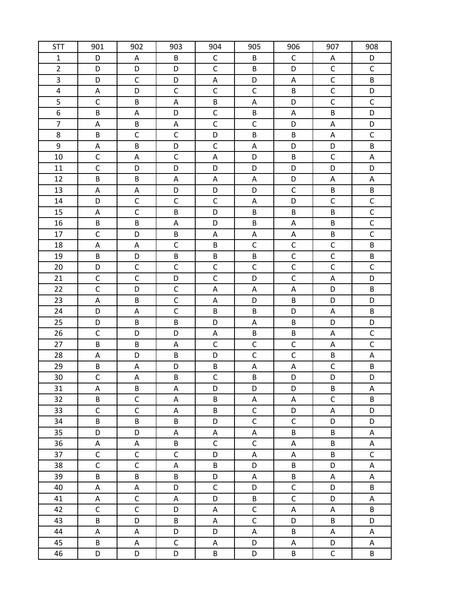| <b>STT</b>              | 901          | 902            | 903          | 904                     | 905              | 906            | 907            | 908         |
|-------------------------|--------------|----------------|--------------|-------------------------|------------------|----------------|----------------|-------------|
| $\mathbf{1}$            | D            | A              | B            | $\mathsf C$             | B                | $\mathsf C$    | Α              | D           |
| $\overline{2}$          | D            | D              | D            | $\mathsf{C}$            | B                | D              | $\mathsf C$    | $\mathsf C$ |
| 3                       | D            | $\mathsf{C}$   | D            | Α                       | D                | ${\sf A}$      | $\mathsf C$    | B           |
| $\overline{\mathbf{4}}$ | A            | D              | $\mathsf C$  | $\mathsf{C}$            | $\mathsf C$      | B              | $\mathsf C$    | D           |
| 5                       | $\mathsf C$  | B              | Α            | B                       | Α                | D              | $\mathsf C$    | $\mathsf C$ |
| 6                       | B            | Α              | D            | $\mathsf C$             | B                | Α              | B              | D           |
| $\overline{7}$          | A            | B              | A            | $\overline{\mathsf{C}}$ | $\mathsf C$      | D              | $\mathsf A$    | D           |
| 8                       | B            | $\mathsf C$    | $\mathsf C$  | D                       | B                | B              | A              | $\mathsf C$ |
| 9                       | A            | B              | D            | $\mathsf{C}$            | A                | D              | D              | B           |
| 10                      | $\mathsf C$  | Α              | $\mathsf C$  | Α                       | D                | B              | $\mathsf C$    | Α           |
| 11                      | $\mathsf C$  | D              | D            | D                       | D                | D              | D              | D           |
| 12                      | B            | B              | Α            | Α                       | Α                | D              | A              | Α           |
| 13                      | A            | $\mathsf A$    | D            | D                       | D                | $\mathsf C$    | B              | B           |
| 14                      | D            | $\mathsf C$    | $\mathsf C$  | $\mathsf C$             | Α                | D              | $\mathsf C$    | $\mathsf C$ |
| 15                      | A            | $\mathsf C$    | B            | D                       | B                | B              | B              | $\mathsf C$ |
| 16                      | $\sf B$      | B              | Α            | D                       | B                | ${\sf A}$      | B              | $\mathsf C$ |
| 17                      | $\mathsf C$  | D              | B            | Α                       | Α                | Α              | B              | $\mathsf C$ |
| 18                      | A            | A              | $\mathsf C$  | B                       | $\mathsf C$      | $\mathsf C$    | $\mathsf C$    | B           |
| 19                      | B            | D              | B            | B                       | B                | $\overline{C}$ | $\overline{C}$ | B           |
| 20                      | D            | $\mathsf C$    | $\mathsf{C}$ | $\mathsf{C}$            | $\mathsf C$      | $\mathsf C$    | $\mathsf C$    | $\mathsf C$ |
| 21                      | $\mathsf C$  | $\mathsf C$    | D            | $\mathsf{C}$            | D                | $\mathsf C$    | $\mathsf A$    | D           |
| 22                      | $\mathsf C$  | D              | $\mathsf C$  | Α                       | Α                | ${\sf A}$      | D              | B           |
| 23                      | A            | B              | $\mathsf{C}$ | Α                       | D                | B              | D              | D           |
| 24                      | D            | Α              | $\mathsf C$  | B                       | B                | D              | Α              | B           |
| 25                      | D            | B              | B            | D                       | Α                | B              | D              | D           |
| 26                      | $\mathsf C$  | D              | D            | Α                       | B                | B              | A              | $\mathsf C$ |
| 27                      | B            | B              | Α            | $\mathsf{C}$            | $\mathsf C$      | $\mathsf C$    | A              | $\mathsf C$ |
| 28                      | A            | D              | B            | D                       | $\mathsf C$      | $\mathsf C$    | B              | A           |
| 29                      | B            | Α              | D            | B                       | Α                | A              | $\mathsf C$    | B           |
| 30                      | $\mathsf C$  | $\mathsf A$    | B            | $\mathsf{C}$            | B                | D              | D              | D           |
| 31                      | Α            | B              | Α            | D                       | D                | D              | B              | Α           |
| 32                      | B            | $\mathsf{C}$   | A            | B                       | Α                | Α              | $\mathsf C$    | B           |
| 33                      | $\mathsf C$  | $\mathsf C$    | A            | B                       | $\mathsf C$      | D              | Α              | D           |
| 34<br>35                | B<br>D       | B<br>D         | B            | D                       | $\mathsf C$      | $\mathsf C$    | D              | D           |
| 36                      | Α            | Α              | A<br>B       | A<br>$\mathsf C$        | A<br>$\mathsf C$ | B<br>Α         | B<br>B         | A<br>A      |
| 37                      | $\mathsf C$  | $\mathsf C$    | $\mathsf C$  | D                       | Α                | Α              | B              | $\mathsf C$ |
| 38                      | $\mathsf{C}$ | $\overline{C}$ | A            | B                       | D                | B              | D              | A           |
| 39                      | B            | B              | B            | D                       | Α                | B              | A              | A           |
| 40                      | A            | $\mathsf A$    | D            | $\mathsf{C}$            | D                | $\mathsf C$    | D              | B           |
| 41                      | Α            | $\mathsf C$    | Α            | D                       | B                | $\mathsf C$    | D              | Α           |
| 42                      | $\mathsf C$  | $\mathsf{C}$   | D            | Α                       | $\mathsf C$      | Α              | Α              | B           |
| 43                      | B            | D              | B            | Α                       | $\mathsf C$      | D              | B              | D           |
| 44                      | A            | $\mathsf A$    | D            | D                       | Α                | B              | $\mathsf A$    | A           |
| 45                      | B            | A              | $\mathsf C$  | Α                       | D                | А              | D              | Α           |
| 46                      | D            | D              | D            | B                       | D                | B              | $\mathsf C$    | B           |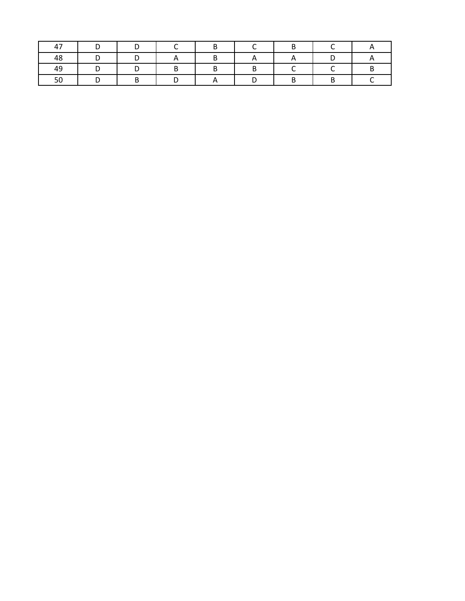| $\overline{\phantom{0}}$ |  |  |  |  |
|--------------------------|--|--|--|--|
| 48                       |  |  |  |  |
| 49                       |  |  |  |  |
| ◡                        |  |  |  |  |